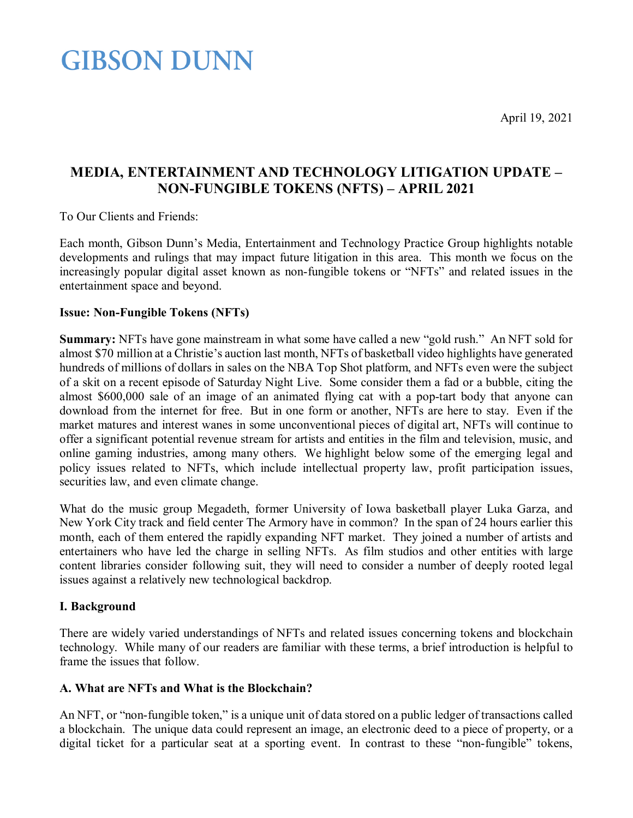April 19, 2021

### **GIBSON DUNN**

### **MEDIA, ENTERTAINMENT AND TECHNOLOGY LITIGATION UPDATE – NON-FUNGIBLE TOKENS (NFTS) – APRIL 2021**

To Our Clients and Friends:

Each month, Gibson Dunn's Media, Entertainment and Technology Practice Group highlights notable developments and rulings that may impact future litigation in this area. This month we focus on the increasingly popular digital asset known as non-fungible tokens or "NFTs" and related issues in the entertainment space and beyond.

### **Issue: Non-Fungible Tokens (NFTs)**

**Summary:** NFTs have gone mainstream in what some have called a new "gold rush." An NFT sold for almost \$70 million at a Christie's auction last month, NFTs of basketball video highlights have generated hundreds of millions of dollars in sales on the NBA Top Shot platform, and NFTs even were the subject of a skit on a recent episode of Saturday Night Live. Some consider them a fad or a bubble, citing the almost \$600,000 sale of an image of an animated flying cat with a pop-tart body that anyone can download from the internet for free. But in one form or another, NFTs are here to stay. Even if the market matures and interest wanes in some unconventional pieces of digital art, NFTs will continue to offer a significant potential revenue stream for artists and entities in the film and television, music, and online gaming industries, among many others. We highlight below some of the emerging legal and policy issues related to NFTs, which include intellectual property law, profit participation issues, securities law, and even climate change.

What do the music group Megadeth, former University of Iowa basketball player Luka Garza, and New York City track and field center The Armory have in common? In the span of 24 hours earlier this month, each of them entered the rapidly expanding NFT market. They joined a number of artists and entertainers who have led the charge in selling NFTs. As film studios and other entities with large content libraries consider following suit, they will need to consider a number of deeply rooted legal issues against a relatively new technological backdrop.

### **I. Background**

There are widely varied understandings of NFTs and related issues concerning tokens and blockchain technology. While many of our readers are familiar with these terms, a brief introduction is helpful to frame the issues that follow.

### **A. What are NFTs and What is the Blockchain?**

An NFT, or "non-fungible token," is a unique unit of data stored on a public ledger of transactions called a blockchain. The unique data could represent an image, an electronic deed to a piece of property, or a digital ticket for a particular seat at a sporting event. In contrast to these "non-fungible" tokens,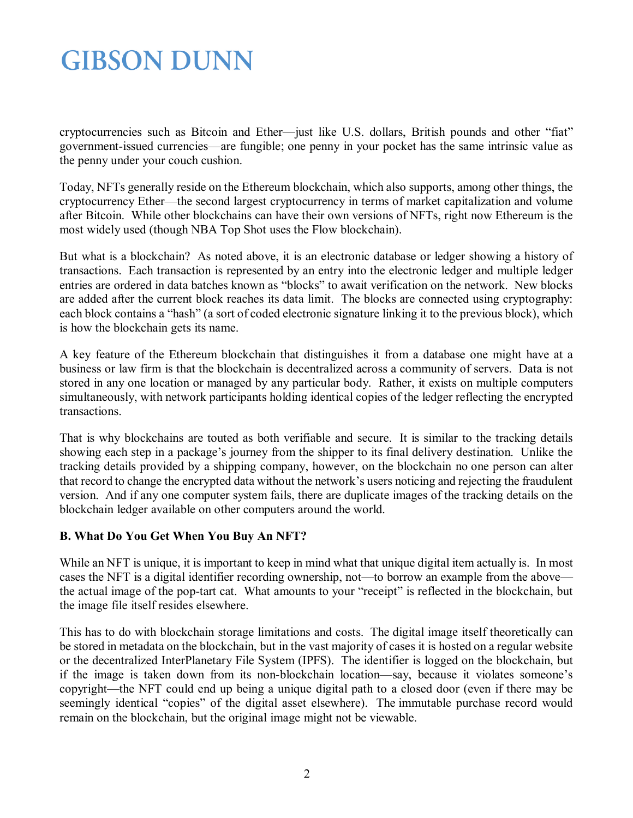cryptocurrencies such as Bitcoin and Ether—just like U.S. dollars, British pounds and other "fiat" government-issued currencies—are fungible; one penny in your pocket has the same intrinsic value as the penny under your couch cushion.

Today, NFTs generally reside on the Ethereum blockchain, which also supports, among other things, the cryptocurrency Ether—the second largest cryptocurrency in terms of market capitalization and volume after Bitcoin. While other blockchains can have their own versions of NFTs, right now Ethereum is the most widely used (though NBA Top Shot uses the Flow blockchain).

But what is a blockchain? As noted above, it is an electronic database or ledger showing a history of transactions. Each transaction is represented by an entry into the electronic ledger and multiple ledger entries are ordered in data batches known as "blocks" to await verification on the network. New blocks are added after the current block reaches its data limit. The blocks are connected using cryptography: each block contains a "hash" (a sort of coded electronic signature linking it to the previous block), which is how the blockchain gets its name.

A key feature of the Ethereum blockchain that distinguishes it from a database one might have at a business or law firm is that the blockchain is decentralized across a community of servers. Data is not stored in any one location or managed by any particular body. Rather, it exists on multiple computers simultaneously, with network participants holding identical copies of the ledger reflecting the encrypted transactions.

That is why blockchains are touted as both verifiable and secure. It is similar to the tracking details showing each step in a package's journey from the shipper to its final delivery destination. Unlike the tracking details provided by a shipping company, however, on the blockchain no one person can alter that record to change the encrypted data without the network's users noticing and rejecting the fraudulent version. And if any one computer system fails, there are duplicate images of the tracking details on the blockchain ledger available on other computers around the world.

### **B. What Do You Get When You Buy An NFT?**

While an NFT is unique, it is important to keep in mind what that unique digital item actually is. In most cases the NFT is a digital identifier recording ownership, not—to borrow an example from the above the actual image of the pop-tart cat. What amounts to your "receipt" is reflected in the blockchain, but the image file itself resides elsewhere.

This has to do with blockchain storage limitations and costs. The digital image itself theoretically can be stored in metadata on the blockchain, but in the vast majority of cases it is hosted on a regular website or the decentralized InterPlanetary File System (IPFS). The identifier is logged on the blockchain, but if the image is taken down from its non-blockchain location—say, because it violates someone's copyright—the NFT could end up being a unique digital path to a closed door (even if there may be seemingly identical "copies" of the digital asset elsewhere). The immutable purchase record would remain on the blockchain, but the original image might not be viewable.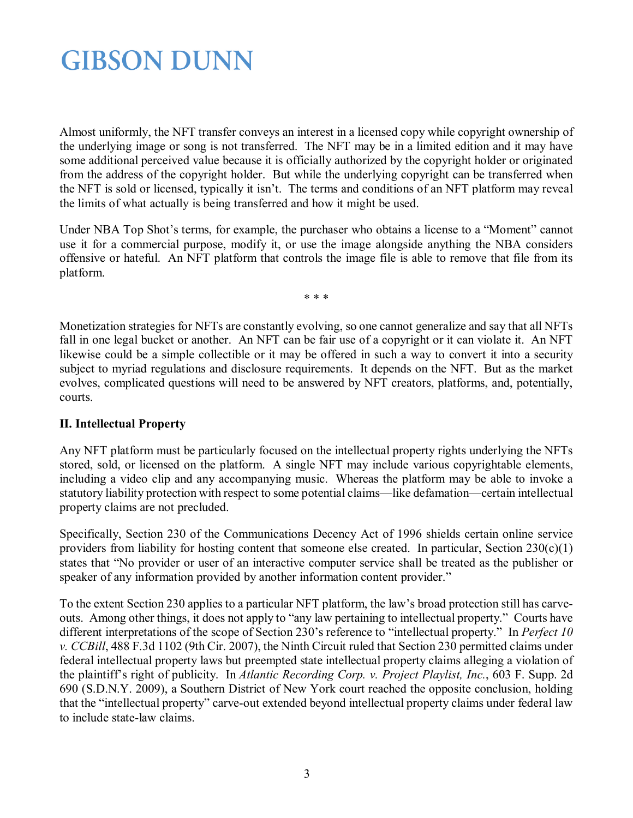Almost uniformly, the NFT transfer conveys an interest in a licensed copy while copyright ownership of the underlying image or song is not transferred. The NFT may be in a limited edition and it may have some additional perceived value because it is officially authorized by the copyright holder or originated from the address of the copyright holder. But while the underlying copyright can be transferred when the NFT is sold or licensed, typically it isn't. The terms and conditions of an NFT platform may reveal the limits of what actually is being transferred and how it might be used.

Under NBA Top Shot's terms, for example, the purchaser who obtains a license to a "Moment" cannot use it for a commercial purpose, modify it, or use the image alongside anything the NBA considers offensive or hateful. An NFT platform that controls the image file is able to remove that file from its platform.

\* \* \*

Monetization strategies for NFTs are constantly evolving, so one cannot generalize and say that all NFTs fall in one legal bucket or another. An NFT can be fair use of a copyright or it can violate it. An NFT likewise could be a simple collectible or it may be offered in such a way to convert it into a security subject to myriad regulations and disclosure requirements. It depends on the NFT. But as the market evolves, complicated questions will need to be answered by NFT creators, platforms, and, potentially, courts.

### **II. Intellectual Property**

Any NFT platform must be particularly focused on the intellectual property rights underlying the NFTs stored, sold, or licensed on the platform. A single NFT may include various copyrightable elements, including a video clip and any accompanying music. Whereas the platform may be able to invoke a statutory liability protection with respect to some potential claims—like defamation—certain intellectual property claims are not precluded.

Specifically, Section 230 of the Communications Decency Act of 1996 shields certain online service providers from liability for hosting content that someone else created. In particular, Section  $230(c)(1)$ states that "No provider or user of an interactive computer service shall be treated as the publisher or speaker of any information provided by another information content provider."

To the extent Section 230 applies to a particular NFT platform, the law's broad protection still has carveouts. Among other things, it does not apply to "any law pertaining to intellectual property." Courts have different interpretations of the scope of Section 230's reference to "intellectual property." In *Perfect 10 v. CCBill*, 488 F.3d 1102 (9th Cir. 2007), the Ninth Circuit ruled that Section 230 permitted claims under federal intellectual property laws but preempted state intellectual property claims alleging a violation of the plaintiff's right of publicity. In *Atlantic Recording Corp. v. Project Playlist, Inc.*, 603 F. Supp. 2d 690 (S.D.N.Y. 2009), a Southern District of New York court reached the opposite conclusion, holding that the "intellectual property" carve-out extended beyond intellectual property claims under federal law to include state-law claims.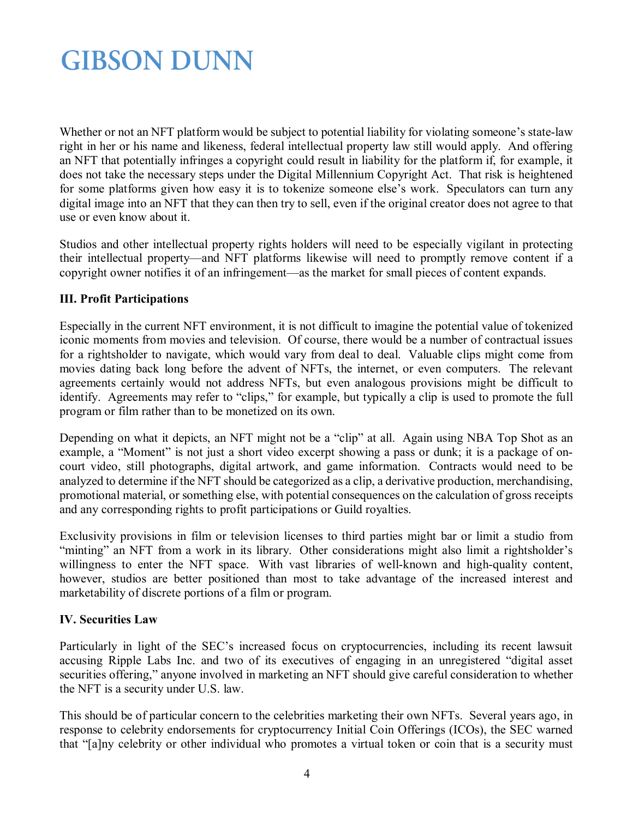Whether or not an NFT platform would be subject to potential liability for violating someone's state-law right in her or his name and likeness, federal intellectual property law still would apply. And offering an NFT that potentially infringes a copyright could result in liability for the platform if, for example, it does not take the necessary steps under the Digital Millennium Copyright Act. That risk is heightened for some platforms given how easy it is to tokenize someone else's work. Speculators can turn any digital image into an NFT that they can then try to sell, even if the original creator does not agree to that use or even know about it.

Studios and other intellectual property rights holders will need to be especially vigilant in protecting their intellectual property—and NFT platforms likewise will need to promptly remove content if a copyright owner notifies it of an infringement—as the market for small pieces of content expands.

### **III. Profit Participations**

Especially in the current NFT environment, it is not difficult to imagine the potential value of tokenized iconic moments from movies and television. Of course, there would be a number of contractual issues for a rightsholder to navigate, which would vary from deal to deal. Valuable clips might come from movies dating back long before the advent of NFTs, the internet, or even computers. The relevant agreements certainly would not address NFTs, but even analogous provisions might be difficult to identify. Agreements may refer to "clips," for example, but typically a clip is used to promote the full program or film rather than to be monetized on its own.

Depending on what it depicts, an NFT might not be a "clip" at all. Again using NBA Top Shot as an example, a "Moment" is not just a short video excerpt showing a pass or dunk; it is a package of oncourt video, still photographs, digital artwork, and game information. Contracts would need to be analyzed to determine if the NFT should be categorized as a clip, a derivative production, merchandising, promotional material, or something else, with potential consequences on the calculation of gross receipts and any corresponding rights to profit participations or Guild royalties.

Exclusivity provisions in film or television licenses to third parties might bar or limit a studio from "minting" an NFT from a work in its library. Other considerations might also limit a rightsholder's willingness to enter the NFT space. With vast libraries of well-known and high-quality content, however, studios are better positioned than most to take advantage of the increased interest and marketability of discrete portions of a film or program.

#### **IV. Securities Law**

Particularly in light of the SEC's increased focus on cryptocurrencies, including its recent lawsuit accusing Ripple Labs Inc. and two of its executives of engaging in an unregistered "digital asset securities offering," anyone involved in marketing an NFT should give careful consideration to whether the NFT is a security under U.S. law.

This should be of particular concern to the celebrities marketing their own NFTs. Several years ago, in response to celebrity endorsements for cryptocurrency Initial Coin Offerings (ICOs), the SEC warned that "[a]ny celebrity or other individual who promotes a virtual token or coin that is a security must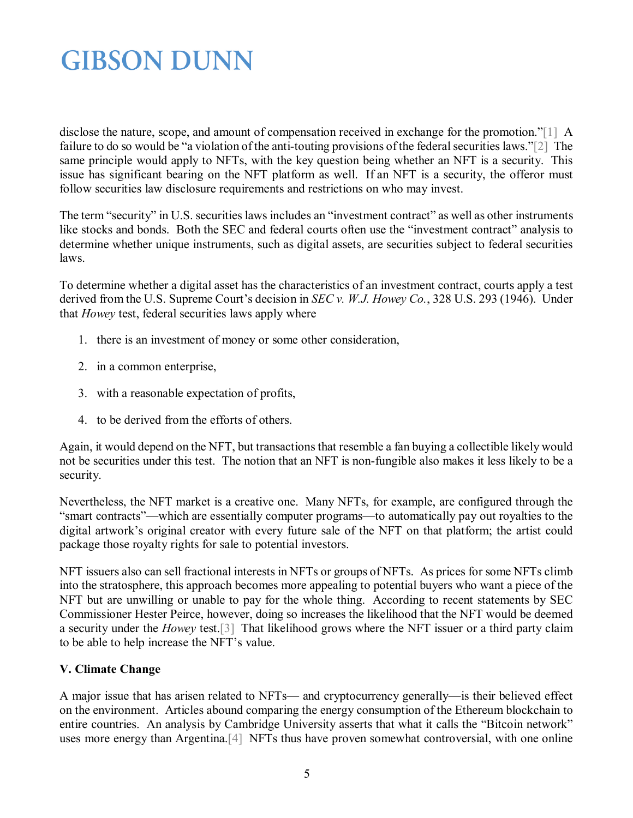disclose the nature, scope, and amount of compensation received in exchange for the promotion."[1] A failure to do so would be "a violation of the anti-touting provisions of the federal securities laws."[2] The same principle would apply to NFTs, with the key question being whether an NFT is a security. This issue has significant bearing on the NFT platform as well. If an NFT is a security, the offeror must follow securities law disclosure requirements and restrictions on who may invest.

The term "security" in U.S. securities laws includes an "investment contract" as well as other instruments like stocks and bonds. Both the SEC and federal courts often use the "investment contract" analysis to determine whether unique instruments, such as digital assets, are securities subject to federal securities laws.

To determine whether a digital asset has the characteristics of an investment contract, courts apply a test derived from the U.S. Supreme Court's decision in *SEC v. W.J. Howey Co.*, 328 U.S. 293 (1946). Under that *Howey* test, federal securities laws apply where

- 1. there is an investment of money or some other consideration,
- 2. in a common enterprise,
- 3. with a reasonable expectation of profits,
- 4. to be derived from the efforts of others.

Again, it would depend on the NFT, but transactions that resemble a fan buying a collectible likely would not be securities under this test. The notion that an NFT is non-fungible also makes it less likely to be a security.

Nevertheless, the NFT market is a creative one. Many NFTs, for example, are configured through the "smart contracts"—which are essentially computer programs—to automatically pay out royalties to the digital artwork's original creator with every future sale of the NFT on that platform; the artist could package those royalty rights for sale to potential investors.

NFT issuers also can sell fractional interests in NFTs or groups of NFTs. As prices for some NFTs climb into the stratosphere, this approach becomes more appealing to potential buyers who want a piece of the NFT but are unwilling or unable to pay for the whole thing. According to recent statements by SEC Commissioner Hester Peirce, however, doing so increases the likelihood that the NFT would be deemed a security under the *Howey* test.[3] That likelihood grows where the NFT issuer or a third party claim to be able to help increase the NFT's value.

### **V. Climate Change**

A major issue that has arisen related to NFTs— and cryptocurrency generally—is their believed effect on the environment. Articles abound comparing the energy consumption of the Ethereum blockchain to entire countries. An analysis by Cambridge University asserts that what it calls the "Bitcoin network" uses more energy than Argentina.[4] NFTs thus have proven somewhat controversial, with one online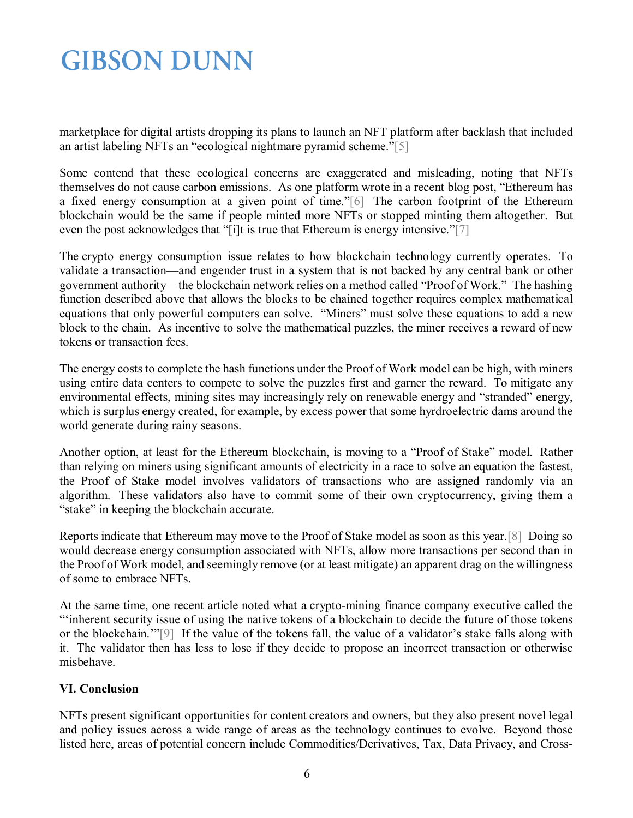marketplace for digital artists dropping its plans to launch an NFT platform after backlash that included an artist labeling NFTs an "ecological nightmare pyramid scheme."[5]

Some contend that these ecological concerns are exaggerated and misleading, noting that NFTs themselves do not cause carbon emissions. As one platform wrote in a recent blog post, "Ethereum has a fixed energy consumption at a given point of time."[6] The carbon footprint of the Ethereum blockchain would be the same if people minted more NFTs or stopped minting them altogether. But even the post acknowledges that "[i]t is true that Ethereum is energy intensive."[7]

The crypto energy consumption issue relates to how blockchain technology currently operates. To validate a transaction—and engender trust in a system that is not backed by any central bank or other government authority—the blockchain network relies on a method called "Proof of Work." The hashing function described above that allows the blocks to be chained together requires complex mathematical equations that only powerful computers can solve. "Miners" must solve these equations to add a new block to the chain. As incentive to solve the mathematical puzzles, the miner receives a reward of new tokens or transaction fees.

The energy costs to complete the hash functions under the Proof of Work model can be high, with miners using entire data centers to compete to solve the puzzles first and garner the reward. To mitigate any environmental effects, mining sites may increasingly rely on renewable energy and "stranded" energy, which is surplus energy created, for example, by excess power that some hyrdroelectric dams around the world generate during rainy seasons.

Another option, at least for the Ethereum blockchain, is moving to a "Proof of Stake" model. Rather than relying on miners using significant amounts of electricity in a race to solve an equation the fastest, the Proof of Stake model involves validators of transactions who are assigned randomly via an algorithm. These validators also have to commit some of their own cryptocurrency, giving them a "stake" in keeping the blockchain accurate.

Reports indicate that Ethereum may move to the Proof of Stake model as soon as this year.[8] Doing so would decrease energy consumption associated with NFTs, allow more transactions per second than in the Proof of Work model, and seemingly remove (or at least mitigate) an apparent drag on the willingness of some to embrace NFTs.

At the same time, one recent article noted what a crypto-mining finance company executive called the "'inherent security issue of using the native tokens of a blockchain to decide the future of those tokens or the blockchain.'"[9] If the value of the tokens fall, the value of a validator's stake falls along with it. The validator then has less to lose if they decide to propose an incorrect transaction or otherwise misbehave.

### **VI. Conclusion**

NFTs present significant opportunities for content creators and owners, but they also present novel legal and policy issues across a wide range of areas as the technology continues to evolve. Beyond those listed here, areas of potential concern include Commodities/Derivatives, Tax, Data Privacy, and Cross-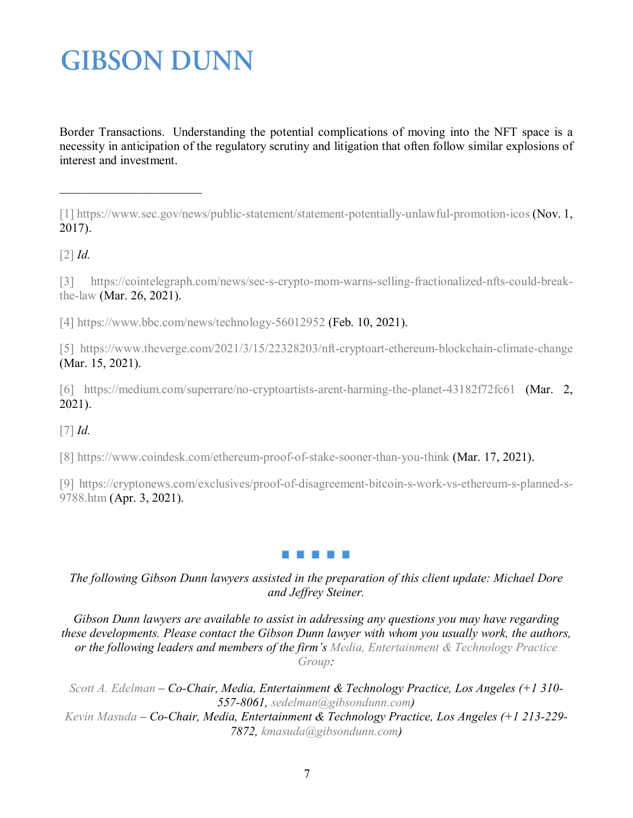Border Transactions. Understanding the potential complications of moving into the NFT space is a necessity in anticipation of the regulatory scrutiny and litigation that often follow similar explosions of interest and investment.

[1] <https://www.sec.gov/news/public-statement/statement-potentially-unlawful-promotion-icos> (Nov. 1, 2017).

[2] *Id.*

[3] [https://cointelegraph.com/news/sec-s-crypto-mom-warns-selling-fractionalized-nfts-could-break](https://cointelegraph.com/news/sec-s-crypto-mom-warns-selling-fractionalized-nfts-could-break-the-law)[the-law](https://cointelegraph.com/news/sec-s-crypto-mom-warns-selling-fractionalized-nfts-could-break-the-law) (Mar. 26, 2021).

[4] <https://www.bbc.com/news/technology-56012952> (Feb. 10, 2021).

[5] <https://www.theverge.com/2021/3/15/22328203/nft-cryptoart-ethereum-blockchain-climate-change> (Mar. 15, 2021).

[6] <https://medium.com/superrare/no-cryptoartists-arent-harming-the-planet-43182f72fc61> (Mar. 2, 2021).

[7] *Id.*

[8] <https://www.coindesk.com/ethereum-proof-of-stake-sooner-than-you-think> (Mar. 17, 2021).

[9] [https://cryptonews.com/exclusives/proof-of-disagreement-bitcoin-s-work-vs-ethereum-s-planned-s-](https://cryptonews.com/exclusives/proof-of-disagreement-bitcoin-s-work-vs-ethereum-s-planned-s-9788.htm)[9788.htm](https://cryptonews.com/exclusives/proof-of-disagreement-bitcoin-s-work-vs-ethereum-s-planned-s-9788.htm) (Apr. 3, 2021).



*The following Gibson Dunn lawyers assisted in the preparation of this client update: Michael Dore and Jeffrey Steiner.*

*Gibson Dunn lawyers are available to assist in addressing any questions you may have regarding these developments. Please contact the Gibson Dunn lawyer with whom you usually work, the authors, or the following leaders and members of the firm's [Media, Entertainment & Technology Practice](https://www.gibsondunn.com/practice/media-entertainment-and-technology/)  [Group:](https://www.gibsondunn.com/practice/media-entertainment-and-technology/)* 

*[Scott A. Edelman](http://www.gibsondunn.com/lawyers/sedelman) – Co-Chair, Media, Entertainment & Technology Practice, Los Angeles (+1 310- 557-8061, [sedelman@gibsondunn.com\)](mailto:sedelman@gibsondunn.com) [Kevin Masuda](https://www.gibsondunn.com/lawyer/masuda-kevin-s/) – Co-Chair, Media, Entertainment & Technology Practice, Los Angeles (+1 213-229- 7872, [kmasuda@gibsondunn.com\)](mailto:kmasuda@gibsondunn.com)*